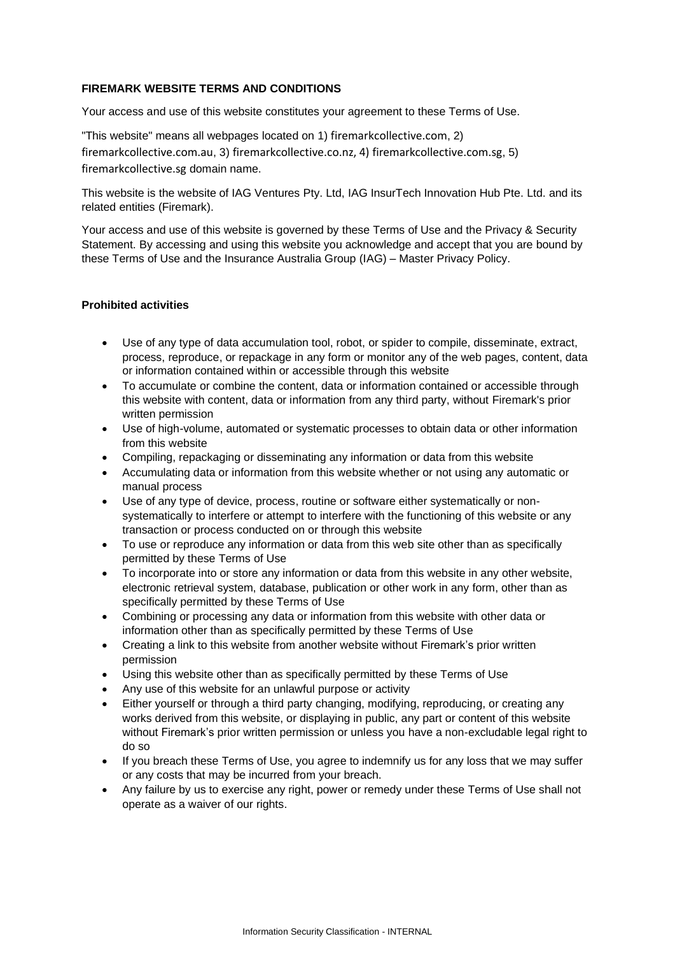## **FIREMARK WEBSITE TERMS AND CONDITIONS**

Your access and use of this website constitutes your agreement to these Terms of Use.

"This website" means all webpages located on 1) firemarkcollective.com, 2) firemarkcollective.com.au, 3) firemarkcollective.co.nz, 4) firemarkcollective.com.sg, 5) firemarkcollective.sg domain name.

This website is the website of IAG Ventures Pty. Ltd, IAG InsurTech Innovation Hub Pte. Ltd. and its related entities (Firemark).

Your access and use of this website is governed by these Terms of Use and the Privacy & Security Statement. By accessing and using this website you acknowledge and accept that you are bound by these Terms of Use and the Insurance Australia Group (IAG) – Master Privacy Policy.

## **Prohibited activities**

- Use of any type of data accumulation tool, robot, or spider to compile, disseminate, extract, process, reproduce, or repackage in any form or monitor any of the web pages, content, data or information contained within or accessible through this website
- To accumulate or combine the content, data or information contained or accessible through this website with content, data or information from any third party, without Firemark's prior written permission
- Use of high-volume, automated or systematic processes to obtain data or other information from this website
- Compiling, repackaging or disseminating any information or data from this website
- Accumulating data or information from this website whether or not using any automatic or manual process
- Use of any type of device, process, routine or software either systematically or nonsystematically to interfere or attempt to interfere with the functioning of this website or any transaction or process conducted on or through this website
- To use or reproduce any information or data from this web site other than as specifically permitted by these Terms of Use
- To incorporate into or store any information or data from this website in any other website, electronic retrieval system, database, publication or other work in any form, other than as specifically permitted by these Terms of Use
- Combining or processing any data or information from this website with other data or information other than as specifically permitted by these Terms of Use
- Creating a link to this website from another website without Firemark's prior written permission
- Using this website other than as specifically permitted by these Terms of Use
- Any use of this website for an unlawful purpose or activity
- Either yourself or through a third party changing, modifying, reproducing, or creating any works derived from this website, or displaying in public, any part or content of this website without Firemark's prior written permission or unless you have a non-excludable legal right to do so
- If you breach these Terms of Use, you agree to indemnify us for any loss that we may suffer or any costs that may be incurred from your breach.
- Any failure by us to exercise any right, power or remedy under these Terms of Use shall not operate as a waiver of our rights.